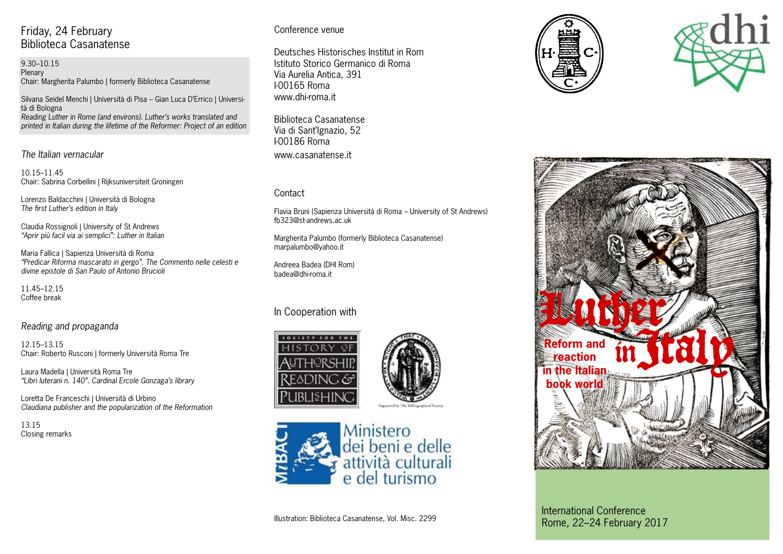# Friday, 24 February Biblioteca Casanatense

9.30–10.15 Plenary Chair: Margherita Palumbo | formerly Biblioteca Casanatense

Silvana Seidel Menchi | Università di Pisa – Gian Luca D'Errico | Università di Bologna *Reading Luther in Rome (and environs). Luther's works translated and printed in Italian during the lifetime of the Reformer: Project of an edition*

*The Italian vernacular*

10.15–11.45 Chair: Sabrina Corbellini | Rijksuniversiteit Groningen

Lorenzo Baldacchini | Università di Bologna *The first Luther's edition in Italy*

Claudia Rossignoli | University of St Andrews *"Aprir più facil via ai semplici": Luther in Italian*

Maria Fallica | Sapienza Università di Roma *"Predicar Riforma mascarato in gergo". The Commento nelle celesti e divine epistole di San Paulo of Antonio Brucioli*

11.45–12.15 Coffee break

### *Reading and propaganda*

12.15–13.15 Chair: Roberto Rusconi | formerly Università Roma Tre

Laura Madella | Università Roma Tre *"Libri luterani n. 140". Cardinal Ercole Gonzaga's library*

Loretta De Franceschi | Università di Urbino *Claudiana publisher and the popularization of the Reformation*

13.15 Closing remarks

### Conference venue

Deutsches Historisches Institut in Rom Istituto Storico Germanico di Roma Via Aurelia Antica, 391 I-00165 Roma www.dhi-roma.it

Biblioteca Casanatense Via di Sant'Ignazio, 52 I-00186 Roma www.casanatense.it

### Contact

Flavia Bruni (Sapienza Università di Roma – University of St Andrews) fb323@st-andrews.ac.uk

Margherita Palumbo (formerly Biblioteca Casanatense) marpalumbo@yahoo.it

Andreea Badea (DHI Rom) badea@dhi-roma.it

## In Cooperation with













International Conference Rome, 22–24 February 2017